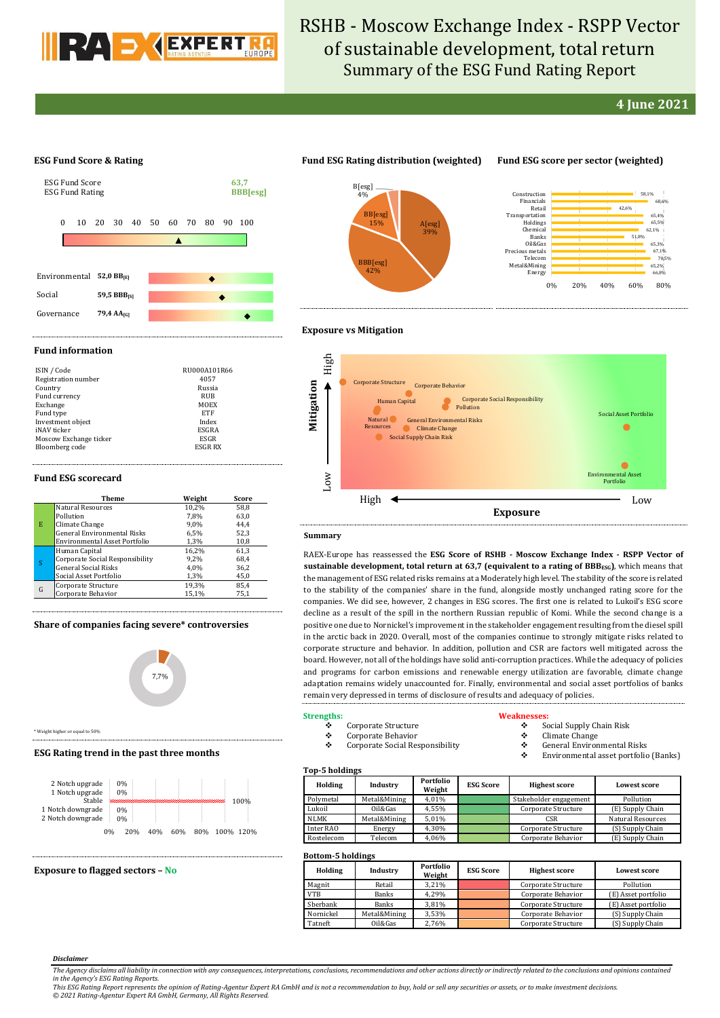

# RSHB - Moscow Exchange Index - RSPP Vector of sustainable development, total return Summary of the ESG Fund Rating Report

## **4 June 2021**

#### **ESG Fund Score & Rating**



## **Fund ESG Rating distribution (weighted) Fund ESG score per sector (weighted)**

BBB[esg] 42%

BB[esg] 15%

B[esg] 4%

> A[esg] 39%



#### **Fund information**

| ISIN / Code            | RU000A101R66   |
|------------------------|----------------|
| Registration number    | 4057           |
| Country                | Russia         |
| Fund currency          | RUB            |
| Exchange               | MOEX           |
| Fund type              | <b>ETF</b>     |
| Investment object      | Index          |
| iNAV ticker            | ESGRA          |
| Moscow Exchange ticker | ESGR           |
| Bloomberg code         | <b>ESGR RX</b> |

#### **Fund ESG scorecard**

|   | Theme                              | Weight | Score |
|---|------------------------------------|--------|-------|
| E | <b>Natural Resources</b>           | 10,2%  | 58,8  |
|   | Pollution                          | 7.8%   | 63,0  |
|   | Climate Change                     | 9.0%   | 44.4  |
|   | <b>General Environmental Risks</b> | 6.5%   | 52,3  |
|   | Environmental Asset Portfolio      | 1,3%   | 10,8  |
| S | Human Capital                      | 16,2%  | 61.3  |
|   | Corporate Social Responsibility    | 9,2%   | 68,4  |
|   | <b>General Social Risks</b>        | 4.0%   | 36,2  |
|   | Social Asset Portfolio             | 1,3%   | 45,0  |
| G | Corporate Structure                | 19,3%  | 85.4  |
|   | Corporate Behavior                 | 15,1%  | 75,1  |

#### **Share of companies facing severe\* controversies**



\* Weight higher or equal to 50%

#### **ESG Rating trend in the past three months**



#### **Exposure to flagged sectors – No**



#### **Summary**

RAEX-Europe has reassessed the **ESG Score of RSHB - Moscow Exchange Index - RSPP Vector of sustainable development, total return at 63,7 (equivalent to a rating of BBBESG)**, which means that the management of ESG related risks remains at a Moderately high level. The stability of the score is related to the stability of the companies' share in the fund, alongside mostly unchanged rating score for the companies. We did see, however, 2 changes in ESG scores. The first one is related to Lukoil's ESG score decline as a result of the spill in the northern Russian republic of Komi. While the second change is a positive one due to Nornickel's improvement in the stakeholder engagement resulting from the diesel spill in the arctic back in 2020. Overall, most of the companies continue to strongly mitigate risks related to corporate structure and behavior. In addition, pollution and CSR are factors well mitigated across the board. However, not all of the holdings have solid anti-corruption practices. While the adequacy of policies and programs for carbon emissions and renewable energy utilization are favorable, climate change adaptation remains widely unaccounted for. Finally, environmental and social asset portfolios of banks remain very depressed in terms of disclosure of results and adequacy of policies.

**Exposure**

#### **Strengths:**

### Corporate Structure

- Corporate Behavior
- Corporate Social Responsibility

#### **Weaknes**

- $\div$  Social Supply Chain Risk<br>  $\div$  Climate Change
- $\begin{matrix} \bullet \\ \bullet \end{matrix}$  Climate Change
- General Environmental Risks Environmental asset portfolio (Banks)

#### **Top-5 holdings**

| <b>TOD D</b> HORIHIES |              |                     |                  |                        |                          |  |  |  |  |  |
|-----------------------|--------------|---------------------|------------------|------------------------|--------------------------|--|--|--|--|--|
| Holding               | Industry     | Portfolio<br>Weight | <b>ESG Score</b> | <b>Highest score</b>   | <b>Lowest score</b>      |  |  |  |  |  |
| Polymetal             | Metal&Mining | 4.01%               |                  | Stakeholder engagement | Pollution                |  |  |  |  |  |
| Lukoil                | Oil&Gas      | 4.55%               |                  | Corporate Structure    | (E) Supply Chain         |  |  |  |  |  |
| <b>NLMK</b>           | Metal&Mining | 5.01%               |                  | <b>CSR</b>             | <b>Natural Resources</b> |  |  |  |  |  |
| Inter RAO             | Energy       | 4,30%               |                  | Corporate Structure    | (S) Supply Chain         |  |  |  |  |  |
| Rostelecom            | Telecom      | 4,06%               |                  | Corporate Behavior     | (E) Supply Chain         |  |  |  |  |  |

### **Bottom-5 holdings**

| <b>DULLUILE DESIGNATION</b> |              |                     |                  |                      |                     |  |  |  |  |
|-----------------------------|--------------|---------------------|------------------|----------------------|---------------------|--|--|--|--|
| Holding                     | Industry     | Portfolio<br>Weight | <b>ESG Score</b> | <b>Highest score</b> | <b>Lowest score</b> |  |  |  |  |
| Magnit                      | Retail       | 3.21%               |                  | Corporate Structure  | Pollution           |  |  |  |  |
| <b>VTB</b>                  | <b>Banks</b> | 4.29%               |                  | Corporate Behavior   | (E) Asset portfolio |  |  |  |  |
| Sberbank                    | <b>Banks</b> | 3.81%               |                  | Corporate Structure  | (E) Asset portfolio |  |  |  |  |
| Nornickel                   | Metal&Mining | 3,53%               |                  | Corporate Behavior   | (S) Supply Chain    |  |  |  |  |
| Tatneft                     | Oil&Gas      | 2,76%               |                  | Corporate Structure  | (S) Supply Chain    |  |  |  |  |

#### *Disclaimer*

*The Agency disclaims all liability in connection with any consequences, interpretations, conclusions, recommendations and other actions directly or indirectly related to the conclusions and opinions contained*  in the Agency's ESG Rating Reports.<br>This ESG Rating Report represents the opinion of Rating-Agentur Expert RA GmbH and is not a recommendation to buy, hold or sell any securities or assets, or to make investment decisions.

*© 2021 Rating-Agentur Expert RA GmbH, Germany, All Rights Reserved.*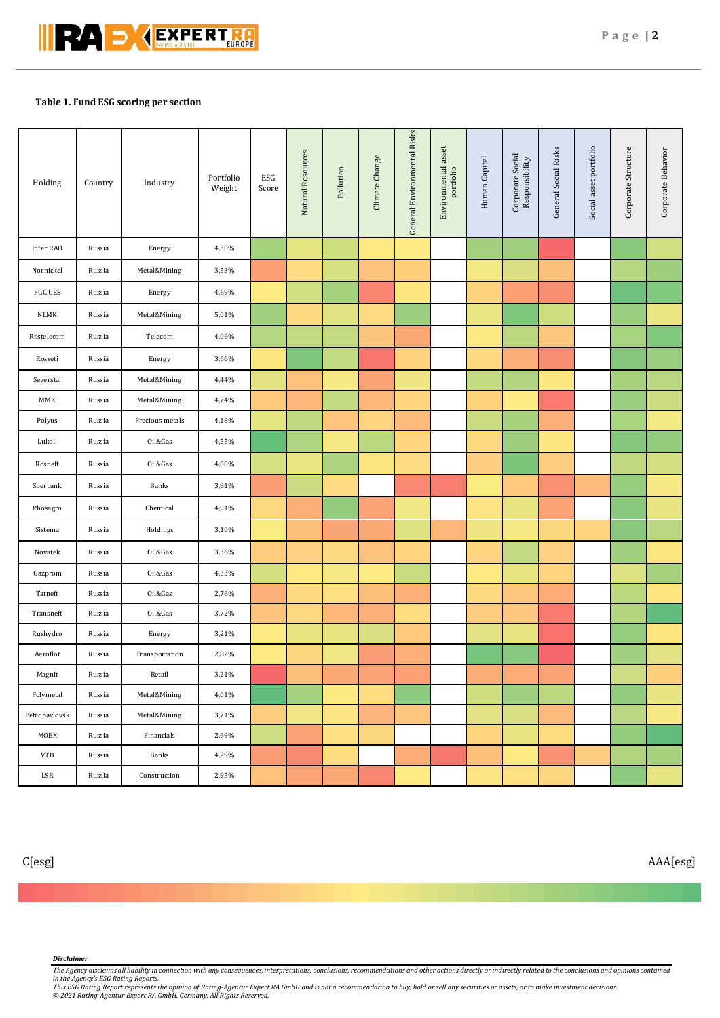

## **Table 1. Fund ESG scoring per section**

| Holding        | Country | Industry        | Portfolio<br>Weight | ESG<br>Score | Natural Resources | Pollution | Climate Change | General Environmental Risks | Environmental asset<br>portfolio | Human Capital | Corporate Social<br>Responsibility | General Social Risks | Social asset portfolio | Corporate Structure | Corporate Behavior |
|----------------|---------|-----------------|---------------------|--------------|-------------------|-----------|----------------|-----------------------------|----------------------------------|---------------|------------------------------------|----------------------|------------------------|---------------------|--------------------|
| Inter RAO      | Russia  | Energy          | 4,30%               |              |                   |           |                |                             |                                  |               |                                    |                      |                        |                     |                    |
| Nornickel      | Russia  | Metal&Mining    | 3,53%               |              |                   |           |                |                             |                                  |               |                                    |                      |                        |                     |                    |
| <b>FGC UES</b> | Russia  | Energy          | 4,69%               |              |                   |           |                |                             |                                  |               |                                    |                      |                        |                     |                    |
| NLMK           | Russia  | Metal&Mining    | 5,01%               |              |                   |           |                |                             |                                  |               |                                    |                      |                        |                     |                    |
| Rostelecom     | Russia  | Telecom         | 4,06%               |              |                   |           |                |                             |                                  |               |                                    |                      |                        |                     |                    |
| Rosseti        | Russia  | Energy          | 3,66%               |              |                   |           |                |                             |                                  |               |                                    |                      |                        |                     |                    |
| Severstal      | Russia  | Metal&Mining    | 4,44%               |              |                   |           |                |                             |                                  |               |                                    |                      |                        |                     |                    |
| MMK            | Russia  | Metal&Mining    | 4,74%               |              |                   |           |                |                             |                                  |               |                                    |                      |                        |                     |                    |
| Polyus         | Russia  | Precious metals | 4,18%               |              |                   |           |                |                             |                                  |               |                                    |                      |                        |                     |                    |
| Lukoil         | Russia  | Oil&Gas         | 4,55%               |              |                   |           |                |                             |                                  |               |                                    |                      |                        |                     |                    |
| Rosneft        | Russia  | Oil&Gas         | 4,00%               |              |                   |           |                |                             |                                  |               |                                    |                      |                        |                     |                    |
| Sberbank       | Russia  | Banks           | 3,81%               |              |                   |           |                |                             |                                  |               |                                    |                      |                        |                     |                    |
| Phosagro       | Russia  | Chemical        | 4,91%               |              |                   |           |                |                             |                                  |               |                                    |                      |                        |                     |                    |
| Sistema        | Russia  | Holdings        | 3,10%               |              |                   |           |                |                             |                                  |               |                                    |                      |                        |                     |                    |
| Novatek        | Russia  | Oil&Gas         | 3,36%               |              |                   |           |                |                             |                                  |               |                                    |                      |                        |                     |                    |
| Gazprom        | Russia  | Oil&Gas         | 4,33%               |              |                   |           |                |                             |                                  |               |                                    |                      |                        |                     |                    |
| Tatneft        | Russia  | Oil&Gas         | 2,76%               |              |                   |           |                |                             |                                  |               |                                    |                      |                        |                     |                    |
| Transneft      | Russia  | Oil&Gas         | 3,72%               |              |                   |           |                |                             |                                  |               |                                    |                      |                        |                     |                    |
| Rushydro       | Russia  | Energy          | 3,21%               |              |                   |           |                |                             |                                  |               |                                    |                      |                        |                     |                    |
| Aeroflot       | Russia  | Transportation  | 2,82%               |              |                   |           |                |                             |                                  |               |                                    |                      |                        |                     |                    |
| Magnit         | Russia  | Retail          | 3,21%               |              |                   |           |                |                             |                                  |               |                                    |                      |                        |                     |                    |
| Polymetal      | Russia  | Metal&Mining    | 4,01%               |              |                   |           |                |                             |                                  |               |                                    |                      |                        |                     |                    |
| Petropavlovsk  | Russia  | Metal&Mining    | 3,71%               |              |                   |           |                |                             |                                  |               |                                    |                      |                        |                     |                    |
| MOEX           | Russia  | Financials      | 2,69%               |              |                   |           |                |                             |                                  |               |                                    |                      |                        |                     |                    |
| <b>VTB</b>     | Russia  | Banks           | 4,29%               |              |                   |           |                |                             |                                  |               |                                    |                      |                        |                     |                    |
| LSR            | Russia  | Construction    | 2,95%               |              |                   |           |                |                             |                                  |               |                                    |                      |                        |                     |                    |

C[esg] AAA[esg]

### *Disclaimer*

The Agency disclaims all liability in connection with any consequences, interpretations, conclusions, recommendations and other actions directly or indirectly related to the conclusions and opinions contained<br>This ESG Rati